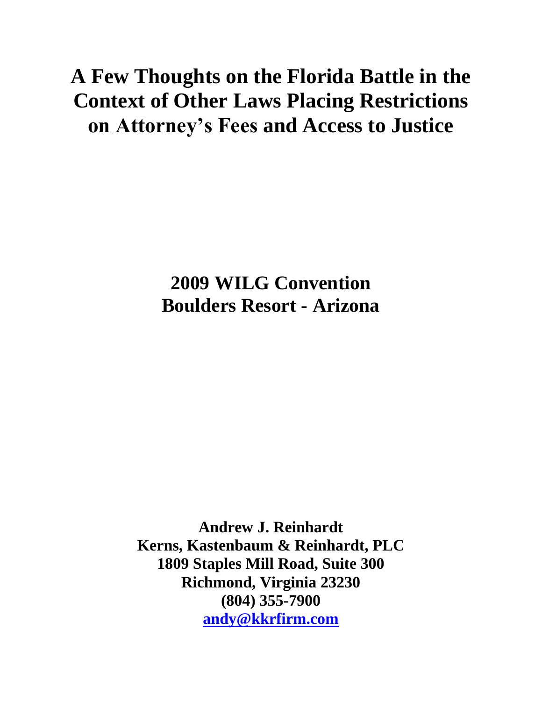# **A Few Thoughts on the Florida Battle in the Context of Other Laws Placing Restrictions on Attorney's Fees and Access to Justice**

**2009 WILG Convention Boulders Resort - Arizona**

**Andrew J. Reinhardt Kerns, Kastenbaum & Reinhardt, PLC 1809 Staples Mill Road, Suite 300 Richmond, Virginia 23230 (804) 355-7900 [andy@kkrfirm.com](mailto:andy@kkrfirm.com)**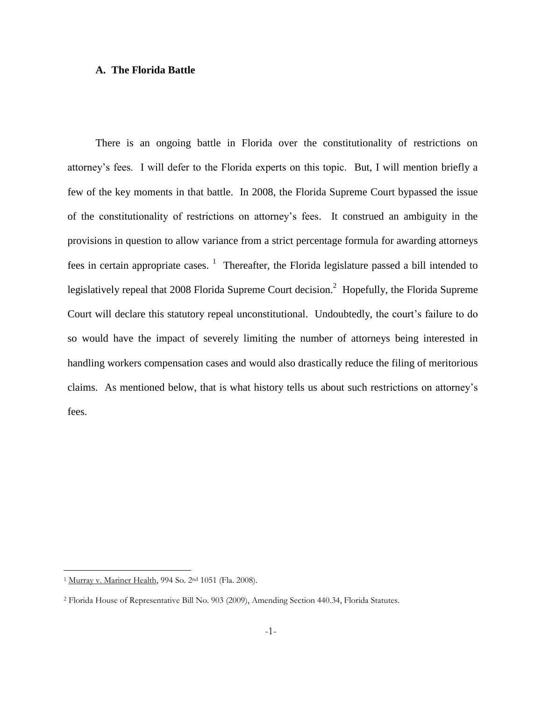# **A. The Florida Battle**

There is an ongoing battle in Florida over the constitutionality of restrictions on attorney's fees. I will defer to the Florida experts on this topic. But, I will mention briefly a few of the key moments in that battle. In 2008, the Florida Supreme Court bypassed the issue of the constitutionality of restrictions on attorney's fees. It construed an ambiguity in the provisions in question to allow variance from a strict percentage formula for awarding attorneys fees in certain appropriate cases.  $\frac{1}{1}$  Thereafter, the Florida legislature passed a bill intended to legislatively repeal that 2008 Florida Supreme Court decision.<sup>2</sup> Hopefully, the Florida Supreme Court will declare this statutory repeal unconstitutional. Undoubtedly, the court's failure to do so would have the impact of severely limiting the number of attorneys being interested in handling workers compensation cases and would also drastically reduce the filing of meritorious claims. As mentioned below, that is what history tells us about such restrictions on attorney's fees.

<sup>&</sup>lt;sup>1</sup> Murray v. Mariner Health, 994 So. 2<sup>nd</sup> 1051 (Fla. 2008).

<sup>2</sup> Florida House of Representative Bill No. 903 (2009), Amending Section 440.34, Florida Statutes.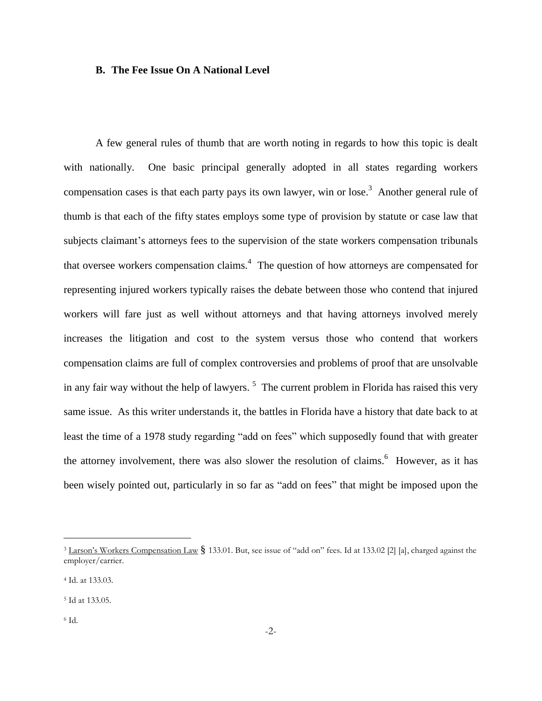# **B. The Fee Issue On A National Level**

A few general rules of thumb that are worth noting in regards to how this topic is dealt with nationally. One basic principal generally adopted in all states regarding workers compensation cases is that each party pays its own lawyer, win or lose.<sup>3</sup> Another general rule of thumb is that each of the fifty states employs some type of provision by statute or case law that subjects claimant's attorneys fees to the supervision of the state workers compensation tribunals that oversee workers compensation claims. $4$  The question of how attorneys are compensated for representing injured workers typically raises the debate between those who contend that injured workers will fare just as well without attorneys and that having attorneys involved merely increases the litigation and cost to the system versus those who contend that workers compensation claims are full of complex controversies and problems of proof that are unsolvable in any fair way without the help of lawyers.<sup>5</sup> The current problem in Florida has raised this very same issue. As this writer understands it, the battles in Florida have a history that date back to at least the time of a 1978 study regarding "add on fees" which supposedly found that with greater the attorney involvement, there was also slower the resolution of claims.<sup>6</sup> However, as it has been wisely pointed out, particularly in so far as "add on fees" that might be imposed upon the

<sup>&</sup>lt;sup>3</sup> Larson's Workers Compensation Law § 133.01. But, see issue of "add on" fees. Id at 133.02 [2] [a], charged against the employer/carrier.

<sup>4</sup> Id. at 133.03.

<sup>5</sup> Id at 133.05.

<sup>6</sup> Id.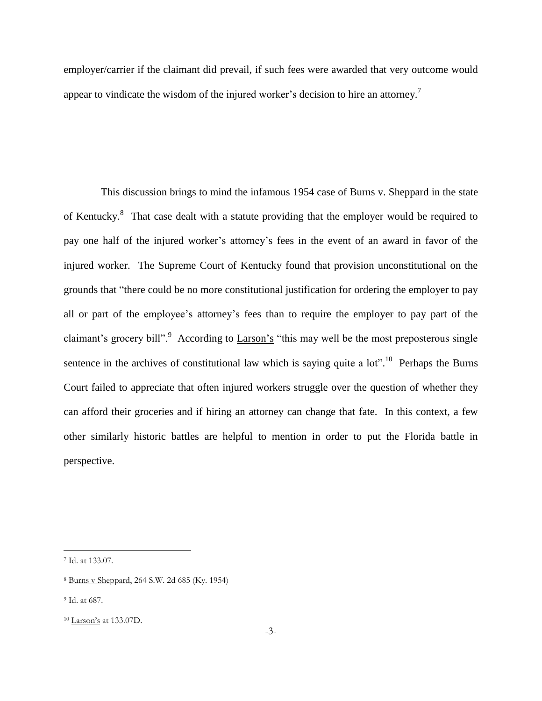employer/carrier if the claimant did prevail, if such fees were awarded that very outcome would appear to vindicate the wisdom of the injured worker's decision to hire an attorney.<sup>7</sup>

 This discussion brings to mind the infamous 1954 case of Burns v. Sheppard in the state of Kentucky.<sup>8</sup> That case dealt with a statute providing that the employer would be required to pay one half of the injured worker's attorney's fees in the event of an award in favor of the injured worker. The Supreme Court of Kentucky found that provision unconstitutional on the grounds that "there could be no more constitutional justification for ordering the employer to pay all or part of the employee's attorney's fees than to require the employer to pay part of the claimant's grocery bill".<sup>9</sup> According to  $\underline{Larson's}$  "this may well be the most preposterous single sentence in the archives of constitutional law which is saying quite a  $10t$ <sup>", 10</sup> Perhaps the **Burns** Court failed to appreciate that often injured workers struggle over the question of whether they can afford their groceries and if hiring an attorney can change that fate. In this context, a few other similarly historic battles are helpful to mention in order to put the Florida battle in perspective.

<sup>7</sup> Id. at 133.07.

<sup>8</sup> Burns v Sheppard, 264 S.W. 2d 685 (Ky. 1954)

<sup>9</sup> Id. at 687.

<sup>10</sup> Larson's at 133.07D.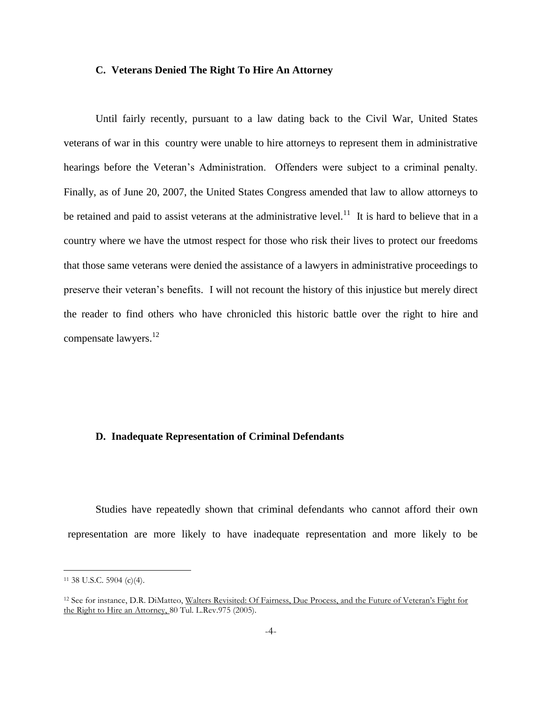#### **C. Veterans Denied The Right To Hire An Attorney**

Until fairly recently, pursuant to a law dating back to the Civil War, United States veterans of war in this country were unable to hire attorneys to represent them in administrative hearings before the Veteran's Administration. Offenders were subject to a criminal penalty. Finally, as of June 20, 2007, the United States Congress amended that law to allow attorneys to be retained and paid to assist veterans at the administrative level.<sup>11</sup> It is hard to believe that in a country where we have the utmost respect for those who risk their lives to protect our freedoms that those same veterans were denied the assistance of a lawyers in administrative proceedings to preserve their veteran's benefits. I will not recount the history of this injustice but merely direct the reader to find others who have chronicled this historic battle over the right to hire and compensate lawyers.<sup>12</sup>

### **D. Inadequate Representation of Criminal Defendants**

Studies have repeatedly shown that criminal defendants who cannot afford their own representation are more likely to have inadequate representation and more likely to be

<sup>11</sup> 38 U.S.C. 5904 (c)(4).

<sup>12</sup> See for instance, D.R. DiMatteo, Walters Revisited: Of Fairness, Due Process, and the Future of Veteran's Fight for the Right to Hire an Attorney, 80 Tul. L.Rev.975 (2005).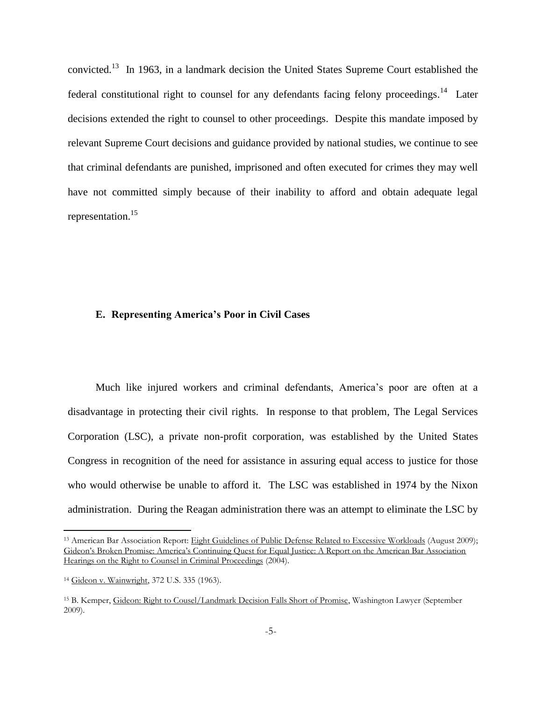convicted.<sup>13</sup> In 1963, in a landmark decision the United States Supreme Court established the federal constitutional right to counsel for any defendants facing felony proceedings.<sup>14</sup> Later decisions extended the right to counsel to other proceedings. Despite this mandate imposed by relevant Supreme Court decisions and guidance provided by national studies, we continue to see that criminal defendants are punished, imprisoned and often executed for crimes they may well have not committed simply because of their inability to afford and obtain adequate legal representation.<sup>15</sup>

#### **E. Representing America's Poor in Civil Cases**

Much like injured workers and criminal defendants, America's poor are often at a disadvantage in protecting their civil rights. In response to that problem, The Legal Services Corporation (LSC), a private non-profit corporation, was established by the United States Congress in recognition of the need for assistance in assuring equal access to justice for those who would otherwise be unable to afford it. The LSC was established in 1974 by the Nixon administration. During the Reagan administration there was an attempt to eliminate the LSC by

<sup>&</sup>lt;sup>13</sup> American Bar Association Report: Eight Guidelines of Public Defense Related to Excessive Workloads (August 2009); Gideon's Broken Promise: America's Continuing Quest for Equal Justice: A Report on the American Bar Association Hearings on the Right to Counsel in Criminal Proceedings (2004).

<sup>14</sup> Gideon v. Wainwright, 372 U.S. 335 (1963).

<sup>15</sup> B. Kemper, Gideon: Right to Cousel/Landmark Decision Falls Short of Promise, Washington Lawyer (September 2009).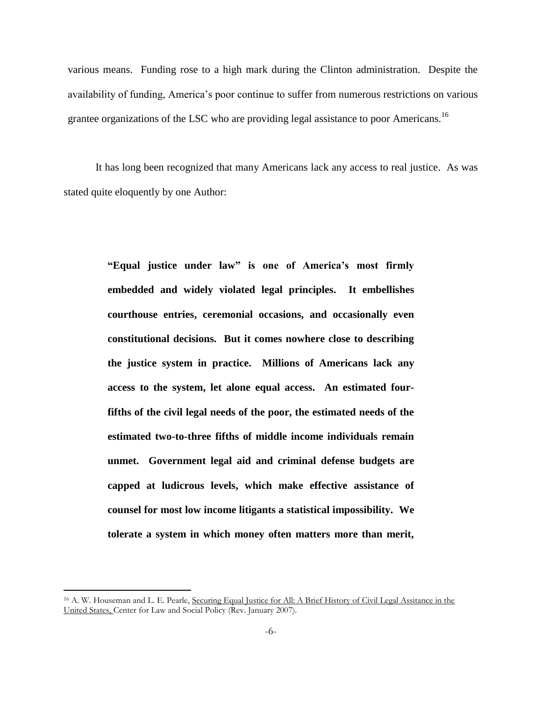various means. Funding rose to a high mark during the Clinton administration. Despite the availability of funding, America's poor continue to suffer from numerous restrictions on various grantee organizations of the LSC who are providing legal assistance to poor Americans.<sup>16</sup>

It has long been recognized that many Americans lack any access to real justice. As was stated quite eloquently by one Author:

> **"Equal justice under law" is one of America's most firmly embedded and widely violated legal principles. It embellishes courthouse entries, ceremonial occasions, and occasionally even constitutional decisions. But it comes nowhere close to describing the justice system in practice. Millions of Americans lack any access to the system, let alone equal access. An estimated fourfifths of the civil legal needs of the poor, the estimated needs of the estimated two-to-three fifths of middle income individuals remain unmet. Government legal aid and criminal defense budgets are capped at ludicrous levels, which make effective assistance of counsel for most low income litigants a statistical impossibility. We tolerate a system in which money often matters more than merit,**

<sup>&</sup>lt;sup>16</sup> A. W. Houseman and L. E. Pearle, Securing Equal Justice for All: A Brief History of Civil Legal Assitance in the United States, Center for Law and Social Policy (Rev. January 2007).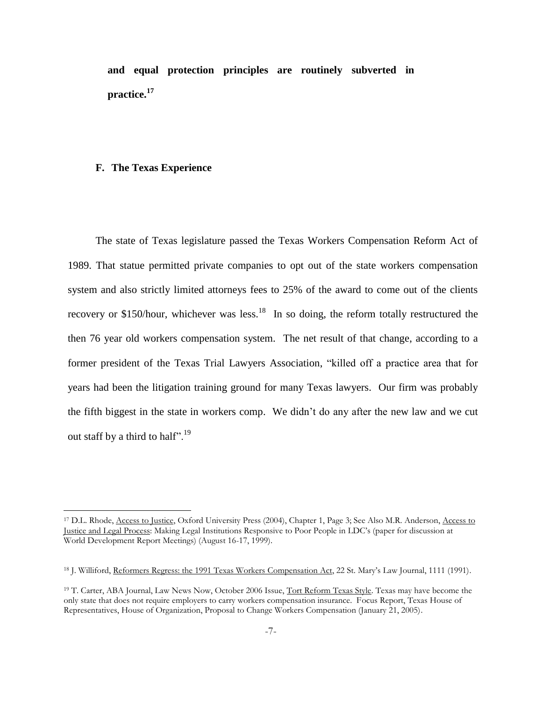**and equal protection principles are routinely subverted in practice.<sup>17</sup>**

#### **F. The Texas Experience**

 $\overline{a}$ 

The state of Texas legislature passed the Texas Workers Compensation Reform Act of 1989. That statue permitted private companies to opt out of the state workers compensation system and also strictly limited attorneys fees to 25% of the award to come out of the clients recovery or \$150/hour, whichever was less.<sup>18</sup> In so doing, the reform totally restructured the then 76 year old workers compensation system. The net result of that change, according to a former president of the Texas Trial Lawyers Association, "killed off a practice area that for years had been the litigation training ground for many Texas lawyers. Our firm was probably the fifth biggest in the state in workers comp. We didn't do any after the new law and we cut out staff by a third to half".<sup>19</sup>

<sup>&</sup>lt;sup>17</sup> D.L. Rhode, Access to Justice, Oxford University Press (2004), Chapter 1, Page 3; See Also M.R. Anderson, Access to Justice and Legal Process: Making Legal Institutions Responsive to Poor People in LDC's (paper for discussion at World Development Report Meetings) (August 16-17, 1999).

<sup>&</sup>lt;sup>18</sup> J. Williford, Reformers Regress: the 1991 Texas Workers Compensation Act, 22 St. Mary's Law Journal, 1111 (1991).

<sup>&</sup>lt;sup>19</sup> T. Carter, ABA Journal, Law News Now, October 2006 Issue, Tort Reform Texas Style. Texas may have become the only state that does not require employers to carry workers compensation insurance. Focus Report, Texas House of Representatives, House of Organization, Proposal to Change Workers Compensation (January 21, 2005).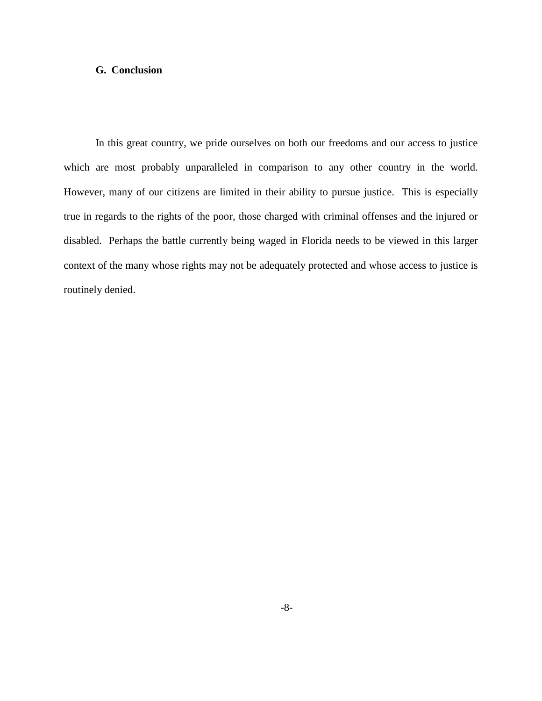# **G. Conclusion**

In this great country, we pride ourselves on both our freedoms and our access to justice which are most probably unparalleled in comparison to any other country in the world. However, many of our citizens are limited in their ability to pursue justice. This is especially true in regards to the rights of the poor, those charged with criminal offenses and the injured or disabled. Perhaps the battle currently being waged in Florida needs to be viewed in this larger context of the many whose rights may not be adequately protected and whose access to justice is routinely denied.